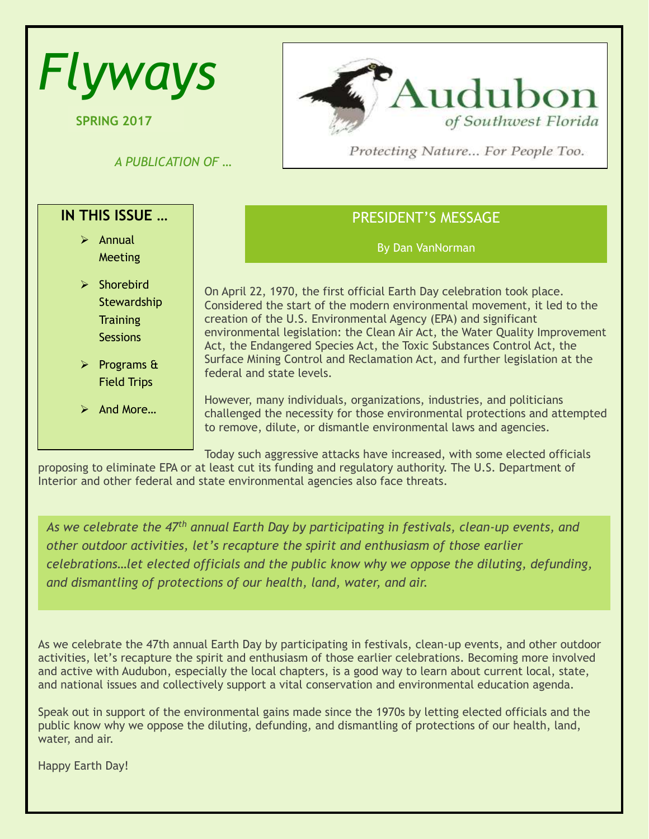| <b>Flyways</b>                                                                                                                                                               | Audubon                                                                                                                                                                                                                                                                                                                                                                                                                                                                                                                                                                                                                                                                                                               |
|------------------------------------------------------------------------------------------------------------------------------------------------------------------------------|-----------------------------------------------------------------------------------------------------------------------------------------------------------------------------------------------------------------------------------------------------------------------------------------------------------------------------------------------------------------------------------------------------------------------------------------------------------------------------------------------------------------------------------------------------------------------------------------------------------------------------------------------------------------------------------------------------------------------|
| <b>SPRING 2017</b>                                                                                                                                                           | of Southwest Florida                                                                                                                                                                                                                                                                                                                                                                                                                                                                                                                                                                                                                                                                                                  |
| A PUBLICATION OF                                                                                                                                                             | Protecting Nature For People Too.                                                                                                                                                                                                                                                                                                                                                                                                                                                                                                                                                                                                                                                                                     |
| IN THIS ISSUE                                                                                                                                                                | <b>PRESIDENT'S MESSAGE</b>                                                                                                                                                                                                                                                                                                                                                                                                                                                                                                                                                                                                                                                                                            |
| $\triangleright$ Annual                                                                                                                                                      | By Dan VanNorman                                                                                                                                                                                                                                                                                                                                                                                                                                                                                                                                                                                                                                                                                                      |
| Meeting<br>$\triangleright$ Shorebird<br>Stewardship<br><b>Training</b><br><b>Sessions</b><br>$\triangleright$ Programs &<br><b>Field Trips</b><br>$\triangleright$ And More | On April 22, 1970, the first official Earth Day celebration took place.<br>Considered the start of the modern environmental movement, it led to the<br>creation of the U.S. Environmental Agency (EPA) and significant<br>environmental legislation: the Clean Air Act, the Water Quality Improvement<br>Act, the Endangered Species Act, the Toxic Substances Control Act, the<br>Surface Mining Control and Reclamation Act, and further legislation at the<br>federal and state levels.<br>However, many individuals, organizations, industries, and politicians<br>challenged the necessity for those environmental protections and attempted<br>to remove, dilute, or dismantle environmental laws and agencies. |

Today such aggressive attacks have increased, with some elected officials proposing to eliminate EPA or at least cut its funding and regulatory authority. The U.S. Department of Interior and other federal and state environmental agencies also face threats.

*As we celebrate the 47th annual Earth Day by participating in festivals, clean-up events, and other outdoor activities, let's recapture the spirit and enthusiasm of those earlier celebrations*…*let elected officials and the public know why we oppose the diluting, defunding, and dismantling of protections of our health, land, water, and air.* 

As we celebrate the 47th annual Earth Day by participating in festivals, clean-up events, and other outdoor activities, let's recapture the spirit and enthusiasm of those earlier celebrations. Becoming more involved and active with Audubon, especially the local chapters, is a good way to learn about current local, state, and national issues and collectively support a vital conservation and environmental education agenda.

Speak out in support of the environmental gains made since the 1970s by letting elected officials and the public know why we oppose the diluting, defunding, and dismantling of protections of our health, land, water, and air.

Happy Earth Day!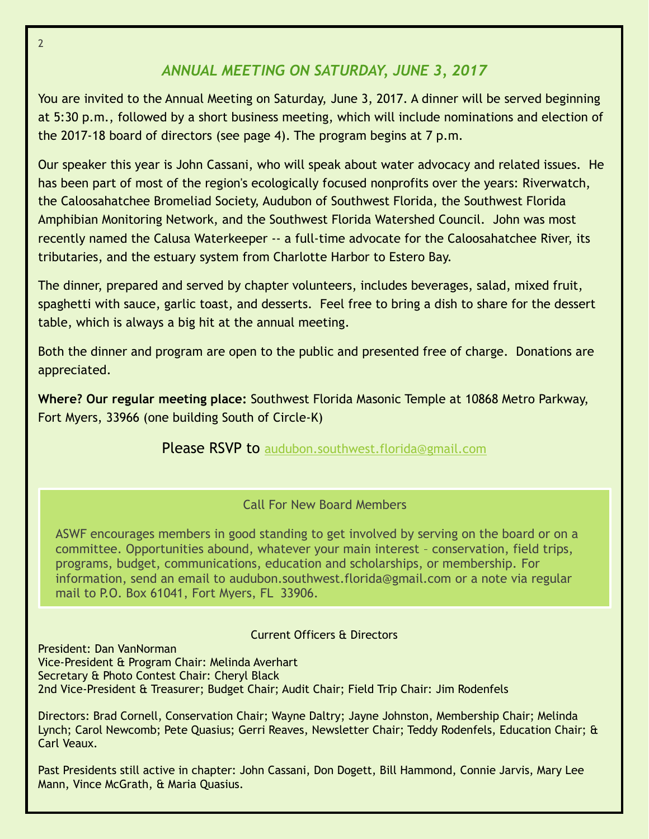# *ANNUAL MEETING ON SATURDAY, JUNE 3, 2017*

You are invited to the Annual Meeting on Saturday, June 3, 2017. A dinner will be served beginning at 5:30 p.m., followed by a short business meeting, which will include nominations and election of the 2017-18 board of directors (see page 4). The program begins at 7 p.m.

Our speaker this year is John Cassani, who will speak about water advocacy and related issues. He has been part of most of the region's ecologically focused nonprofits over the years: Riverwatch, the Caloosahatchee Bromeliad Society, Audubon of Southwest Florida, the Southwest Florida Amphibian Monitoring Network, and the Southwest Florida Watershed Council. John was most recently named the Calusa Waterkeeper -- a full-time advocate for the Caloosahatchee River, its tributaries, and the estuary system from Charlotte Harbor to Estero Bay.

The dinner, prepared and served by chapter volunteers, includes beverages, salad, mixed fruit, spaghetti with sauce, garlic toast, and desserts. Feel free to bring a dish to share for the dessert table, which is always a big hit at the annual meeting.

Both the dinner and program are open to the public and presented free of charge. Donations are appreciated.

**Where? Our regular meeting place:** Southwest Florida Masonic Temple at 10868 Metro Parkway, Fort Myers, 33966 (one building South of Circle-K)

**Please RSVP to [audubon.southwest.florida@gmail.com](mailto:audubon.southwest.florida@gmail.com)** 

## Call For New Board Members

ASWF encourages members in good standing to get involved by serving on the board or on a committee. Opportunities abound, whatever your main interest – conservation, field trips, programs, budget, communications, education and scholarships, or membership. For information, send an email to audubon.southwest.florida@gmail.com or a note via regular mail to P.O. Box 61041, Fort Myers, FL 33906.

## Current Officers & Directors

President: Dan VanNorman Vice-President & Program Chair: Melinda Averhart Secretary & Photo Contest Chair: Cheryl Black 2nd Vice-President & Treasurer; Budget Chair; Audit Chair; Field Trip Chair: Jim Rodenfels

Directors: Brad Cornell, Conservation Chair; Wayne Daltry; Jayne Johnston, Membership Chair; Melinda Lynch; Carol Newcomb; Pete Quasius; Gerri Reaves, Newsletter Chair; Teddy Rodenfels, Education Chair; & Carl Veaux.

Past Presidents still active in chapter: John Cassani, Don Dogett, Bill Hammond, Connie Jarvis, Mary Lee Mann, Vince McGrath, & Maria Quasius.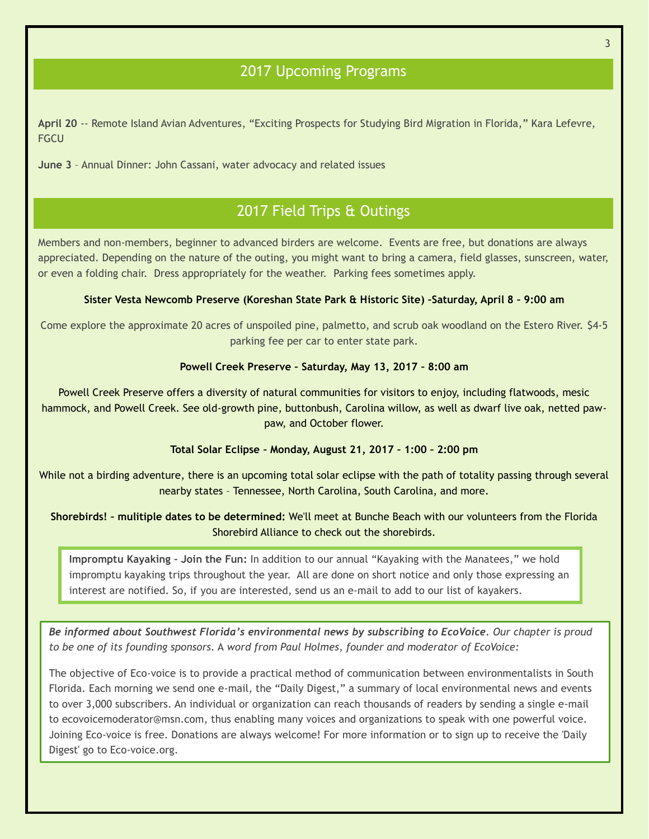# 2017 Upcoming Programs

**April 20** -- Remote Island Avian Adventures, "Exciting Prospects for Studying Bird Migration in Florida," Kara Lefevre, **FGCU** 

**June 3** – Annual Dinner: John Cassani, water advocacy and related issues

# 2017 Field Trips & Outings

Members and non-members, beginner to advanced birders are welcome. Events are free, but donations are always appreciated. Depending on the nature of the outing, you might want to bring a camera, field glasses, sunscreen, water, or even a folding chair. Dress appropriately for the weather. Parking fees sometimes apply.

### **Sister Vesta Newcomb Preserve (Koreshan State Park & Historic Site) –Saturday, April 8 – 9:00 am**

Come explore the approximate 20 acres of unspoiled pine, palmetto, and scrub oak woodland on the Estero River. \$4-5 parking fee per car to enter state park.

### **Powell Creek Preserve – Saturday, May 13, 2017 – 8:00 am**

Powell Creek Preserve offers a diversity of natural communities for visitors to enjoy, including flatwoods, mesic hammock, and Powell Creek. See old-growth pine, buttonbush, Carolina willow, as well as dwarf live oak, netted pawpaw, and October flower.

### **Total Solar Eclipse – Monday, August 21, 2017 – 1:00 – 2:00 pm**

While not a birding adventure, there is an upcoming total solar eclipse with the path of totality passing through several nearby states – Tennessee, North Carolina, South Carolina, and more.

**Shorebirds! – mulitiple dates to be determined:** We'll meet at Bunche Beach with our volunteers from the Florida Shorebird Alliance to check out the shorebirds.

**Impromptu Kayaking – Join the Fun:** In addition to our annual "Kayaking with the Manatees," we hold impromptu kayaking trips throughout the year. All are done on short notice and only those expressing an interest are notified. So, if you are interested, send us an e-mail to add to our list of kayakers.

*Be informed about Southwest Florida's environmental news by subscribing to EcoVoice. Our chapter is proud to be one of its founding sponsors.* A *word from Paul Holmes, founder and moderator of EcoVoice:*

The objective of Eco-voice is to provide a practical method of communication between environmentalists in South Florida. Each morning we send one e-mail, the "Daily Digest," a summary of local environmental news and events to over 3,000 subscribers. An individual or organization can reach thousands of readers by sending a single e-mail to ecovoicemoderator@msn.com, thus enabling many voices and organizations to speak with one powerful voice. Joining Eco-voice is free. Donations are always welcome! For more information or to sign up to receive the 'Daily Digest' go to Eco-voice.org.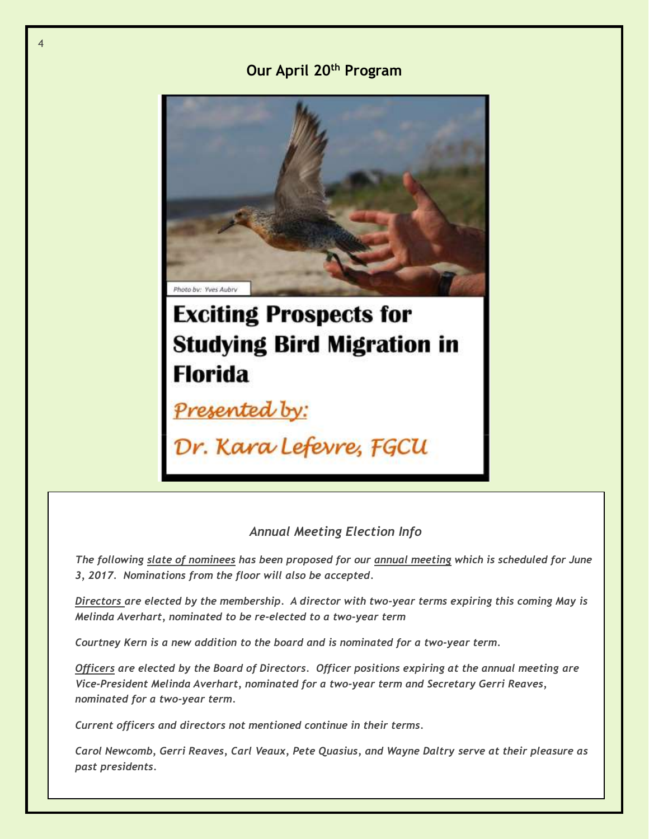## **Our April 20th Program**



# **Exciting Prospects for Studying Bird Migration in Florida**

Presented by:

4

Dr. Kara Lefevre, FGCU

## *Annual Meeting Election Info*

*The following slate of nominees has been proposed for our annual meeting which is scheduled for June 3, 2017. Nominations from the floor will also be accepted.* 

*Directors are elected by the membership. A director with two-year terms expiring this coming May is Melinda Averhart, nominated to be re-elected to a two-year term*

*Courtney Kern is a new addition to the board and is nominated for a two-year term.* 

*Officers are elected by the Board of Directors. Officer positions expiring at the annual meeting are Vice-President Melinda Averhart, nominated for a two-year term and Secretary Gerri Reaves, nominated for a two-year term.* 

*Current officers and directors not mentioned continue in their terms.*

*Carol Newcomb, Gerri Reaves, Carl Veaux, Pete Quasius, and Wayne Daltry serve at their pleasure as past presidents.*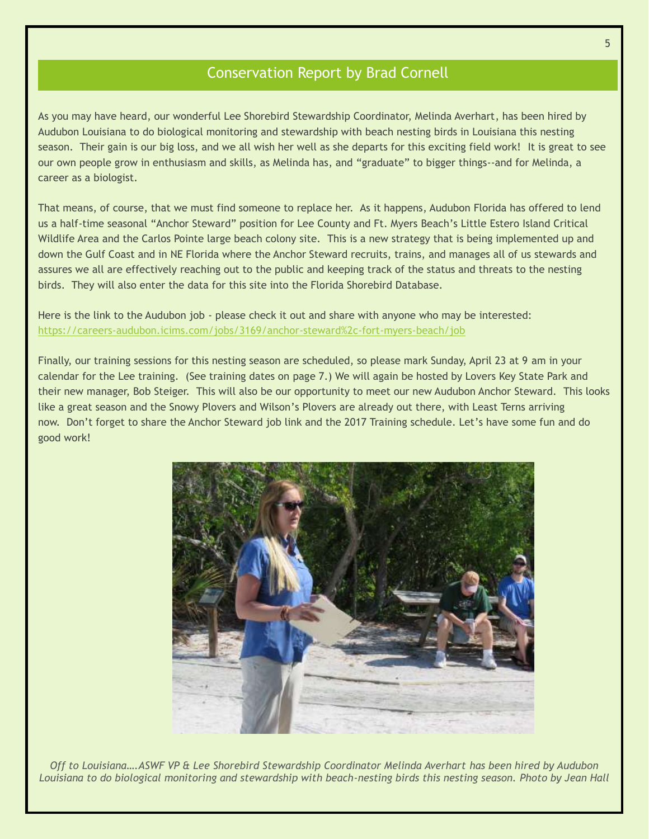## Conservation Report by Brad Cornell

As you may have heard, our wonderful Lee Shorebird Stewardship Coordinator, Melinda Averhart, has been hired by Audubon Louisiana to do biological monitoring and stewardship with beach nesting birds in Louisiana this nesting season. Their gain is our big loss, and we all wish her well as she departs for this exciting field work! It is great to see our own people grow in enthusiasm and skills, as Melinda has, and "graduate" to bigger things--and for Melinda, a career as a biologist. By

That means, of course, that we must find someone to replace her. As it happens, Audubon Florida has offered to lend us a half-time seasonal "Anchor Steward" position for Lee County and Ft. Myers Beach's Little Estero Island Critical Wildlife Area and the Carlos Pointe large beach colony site. This is a new strategy that is being implemented up and down the Gulf Coast and in NE Florida where the Anchor Steward recruits, trains, and manages all of us stewards and assures we all are effectively reaching out to the public and keeping track of the status and threats to the nesting birds. They will also enter the data for this site into the Florida Shorebird Database.

Here is the link to the Audubon job - please check it out and share with anyone who may be interested: <https://careers-audubon.icims.com/jobs/3169/anchor-steward%2c-fort-myers-beach/job>

Finally, our training sessions for this nesting season are scheduled, so please mark Sunday, April 23 at 9 am in your calendar for the Lee training. (See training dates on page 7.) We will again be hosted by Lovers Key State Park and their new manager, Bob Steiger. This will also be our opportunity to meet our new Audubon Anchor Steward. This looks like a great season and the Snowy Plovers and Wilson's Plovers are already out there, with Least Terns arriving now. Don't forget to share the Anchor Steward job link and the 2017 Training schedule. Let's have some fun and do good work!



*Off to Louisiana….ASWF VP & Lee Shorebird Stewardship Coordinator Melinda Averhart has been hired by Audubon Louisiana to do biological monitoring and stewardship with beach-nesting birds this nesting season. Photo by Jean Hall*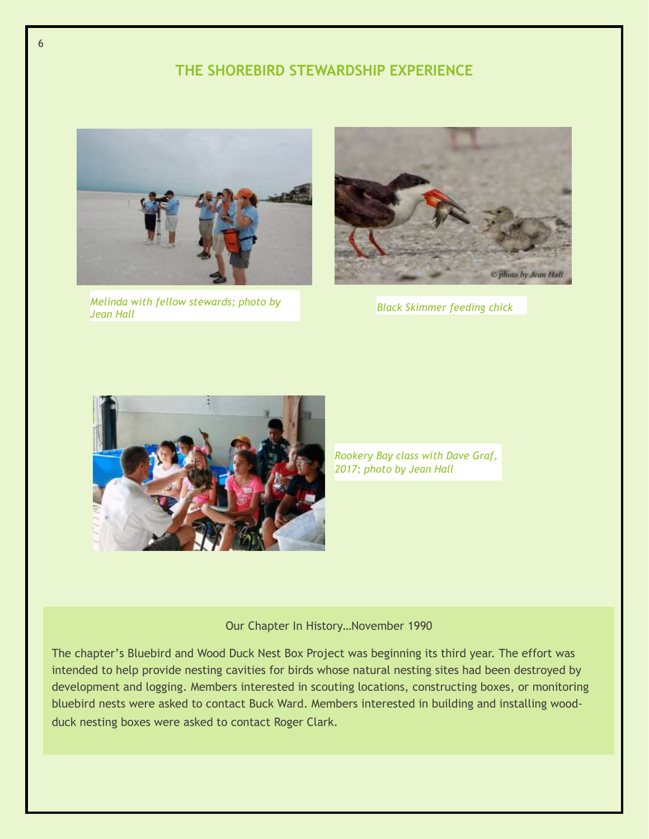## **THE SHOREBIRD STEWARDSHIP EXPERIENCE**



*Melinda with fellow stewards; photo by* 



*Black Skimmer feeding chick* 



*Rookery Bay class with Dave Graf, 2017; photo by Jean Hall*

### Our Chapter In History…November 1990

The chapter's Bluebird and Wood Duck Nest Box Project was beginning its third year. The effort was intended to help provide nesting cavities for birds whose natural nesting sites had been destroyed by development and logging. Members interested in scouting locations, constructing boxes, or monitoring bluebird nests were asked to contact Buck Ward. Members interested in building and installing woodduck nesting boxes were asked to contact Roger Clark.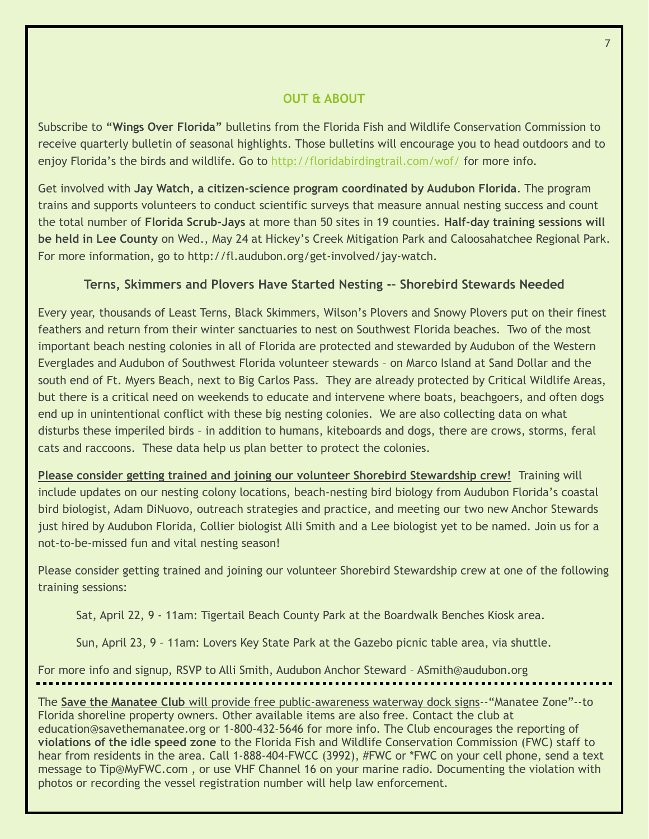## **OUT & ABOUT**

Subscribe to **"Wings Over Florida"** bulletins from the Florida Fish and Wildlife Conservation Commission to receive quarterly bulletin of seasonal highlights. Those bulletins will encourage you to head outdoors and to enjoy Florida's the birds and wildlife. Go to<http://floridabirdingtrail.com/wof/> for more info.

Get involved with **Jay Watch, a citizen-science program coordinated by Audubon Florida**. The program trains and supports volunteers to conduct scientific surveys that measure annual nesting success and count the total number of **Florida Scrub-Jays** at more than 50 sites in 19 counties. **Half-day training sessions will be held in Lee County** on Wed., May 24 at Hickey's Creek Mitigation Park and Caloosahatchee Regional Park. For more information, go to http://fl.audubon.org/get-involved/jay-watch.

## **Terns, Skimmers and Plovers Have Started Nesting -– Shorebird Stewards Needed**

Every year, thousands of Least Terns, Black Skimmers, Wilson's Plovers and Snowy Plovers put on their finest feathers and return from their winter sanctuaries to nest on Southwest Florida beaches. Two of the most important beach nesting colonies in all of Florida are protected and stewarded by Audubon of the Western Everglades and Audubon of Southwest Florida volunteer stewards – on Marco Island at Sand Dollar and the south end of Ft. Myers Beach, next to Big Carlos Pass. They are already protected by Critical Wildlife Areas, but there is a critical need on weekends to educate and intervene where boats, beachgoers, and often dogs end up in unintentional conflict with these big nesting colonies. We are also collecting data on what disturbs these imperiled birds – in addition to humans, kiteboards and dogs, there are crows, storms, feral cats and raccoons. These data help us plan better to protect the colonies.

**Please consider getting trained and joining our volunteer Shorebird Stewardship crew!** Training will include updates on our nesting colony locations, beach-nesting bird biology from Audubon Florida's coastal bird biologist, Adam DiNuovo, outreach strategies and practice, and meeting our two new Anchor Stewards just hired by Audubon Florida, Collier biologist Alli Smith and a Lee biologist yet to be named. Join us for a not-to-be-missed fun and vital nesting season!

Please consider getting trained and joining our volunteer Shorebird Stewardship crew at one of the following training sessions:

Sat, April 22, 9 - 11am: Tigertail Beach County Park at the Boardwalk Benches Kiosk area.

Sun, April 23, 9 – 11am: Lovers Key State Park at the Gazebo picnic table area, via shuttle.

For more info and signup, RSVP to Alli Smith, Audubon Anchor Steward – ASmith@audubon.org

The **Save the Manatee Club** will provide free public-awareness waterway dock signs--"Manatee Zone"--to Florida shoreline property owners. Other available items are also free. Contact the club at education@savethemanatee.org or 1-800-432-5646 for more info. The Club encourages the reporting of **violations of the idle speed zone** to the Florida Fish and Wildlife Conservation Commission (FWC) staff to hear from residents in the area. Call 1-888-404-FWCC (3992), #FWC or \*FWC on your cell phone, send a text message to Tip@MyFWC.com , or use VHF Channel 16 on your marine radio. Documenting the violation with photos or recording the vessel registration number will help law enforcement.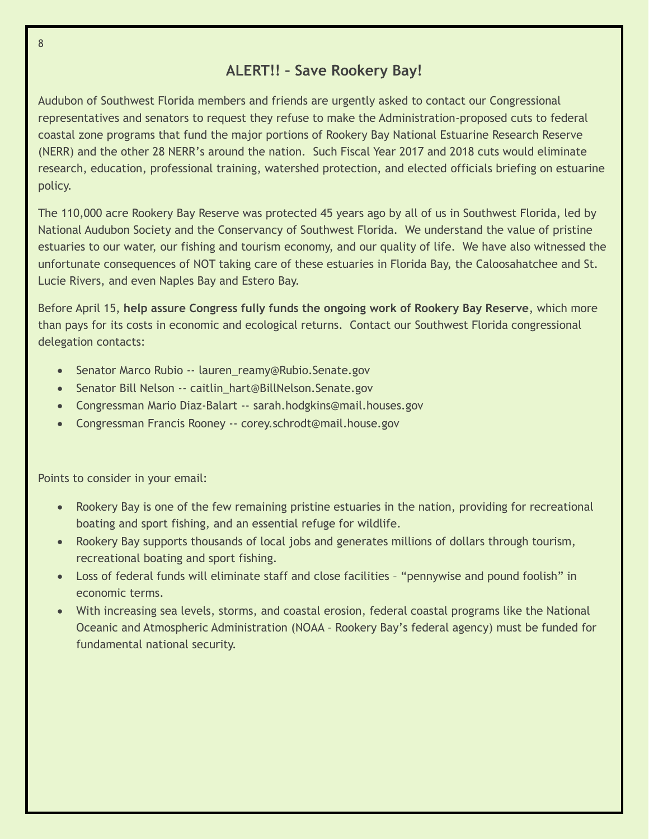# **ALERT!! – Save Rookery Bay!**

Audubon of Southwest Florida members and friends are urgently asked to contact our Congressional representatives and senators to request they refuse to make the Administration-proposed cuts to federal coastal zone programs that fund the major portions of Rookery Bay National Estuarine Research Reserve (NERR) and the other 28 NERR's around the nation. Such Fiscal Year 2017 and 2018 cuts would eliminate research, education, professional training, watershed protection, and elected officials briefing on estuarine policy.

The 110,000 acre Rookery Bay Reserve was protected 45 years ago by all of us in Southwest Florida, led by National Audubon Society and the Conservancy of Southwest Florida. We understand the value of pristine estuaries to our water, our fishing and tourism economy, and our quality of life. We have also witnessed the unfortunate consequences of NOT taking care of these estuaries in Florida Bay, the Caloosahatchee and St. Lucie Rivers, and even Naples Bay and Estero Bay.

Before April 15, **help assure Congress fully funds the ongoing work of Rookery Bay Reserve**, which more than pays for its costs in economic and ecological returns. Contact our Southwest Florida congressional delegation contacts:

- Senator Marco Rubio -- lauren\_reamy@Rubio.Senate.gov
- Senator Bill Nelson -- caitlin\_hart@BillNelson.Senate.gov
- Congressman Mario Diaz-Balart -- sarah.hodgkins@mail.houses.gov
- Congressman Francis Rooney -- corey.schrodt@mail.house.gov

Points to consider in your email:

- Rookery Bay is one of the few remaining pristine estuaries in the nation, providing for recreational boating and sport fishing, and an essential refuge for wildlife.
- Rookery Bay supports thousands of local jobs and generates millions of dollars through tourism, recreational boating and sport fishing.
- Loss of federal funds will eliminate staff and close facilities "pennywise and pound foolish" in economic terms.
- With increasing sea levels, storms, and coastal erosion, federal coastal programs like the National Oceanic and Atmospheric Administration (NOAA – Rookery Bay's federal agency) must be funded for fundamental national security.

8